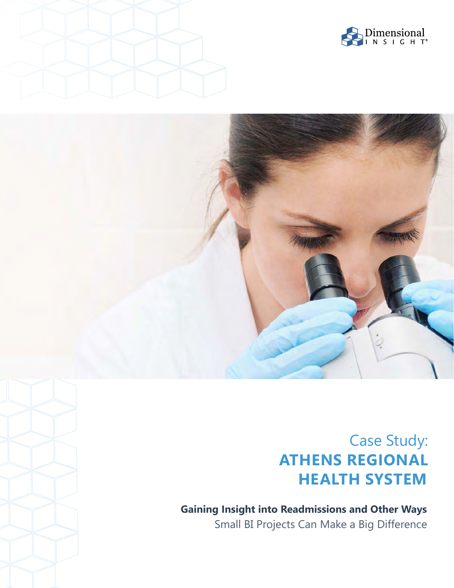





# Case Study: **ATHENS REGIONAL HEALTH SYSTEM**

**Gaining Insight into Readmissions and Other Ways** Small BI Projects Can Make a Big Difference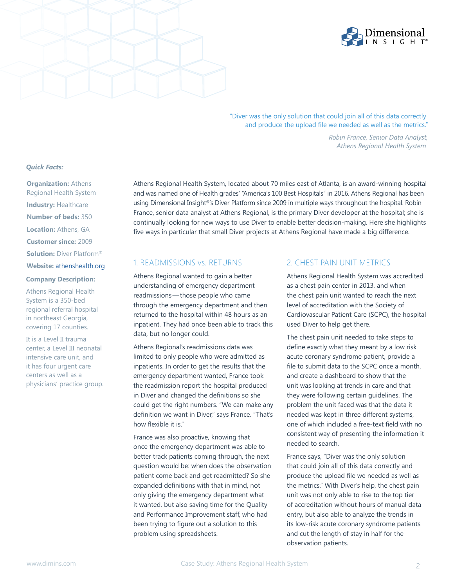

"Diver was the only solution that could join all of this data correctly and produce the upload file we needed as well as the metrics."

 *Athens Regional Health System*

*Robin France, Senior Data Analyst,* 

*Quick Facts:*

**Organization: Athens** Regional Health System **Industry: Healthcare Number of beds:** 350 **Location:** Athens, GA **Customer since:** 2009 **Solution:** Diver Platform® **Website:** athe[nshealth.org](http://www.athenshealth.org/default.cfm)

#### **Company Description:**

Athens Regional Health System is a 350-bed regional referral hospital in northeast Georgia, covering 17 counties.

It is a Level II trauma center, a Level III neonatal intensive care unit, and it has four urgent care centers as well as a physicians' practice group. Athens Regional Health System, located about 70 miles east of Atlanta, is an award-winning hospital and was named one of Health grades' "America's 100 Best Hospitals" in 2016. Athens Regional has been using Dimensional Insight®'s Diver Platform since 2009 in multiple ways throughout the hospital. Robin France, senior data analyst at Athens Regional, is the primary Diver developer at the hospital; she is continually looking for new ways to use Diver to enable better decision-making. Here she highlights five ways in particular that small Diver projects at Athens Regional have made a big difference.

# 1. READMISSIONS vs. RETURNS

Athens Regional wanted to gain a better understanding of emergency department readmissions—those people who came through the emergency department and then returned to the hospital within 48 hours as an inpatient. They had once been able to track this data, but no longer could.

Athens Regional's readmissions data was limited to only people who were admitted as inpatients. In order to get the results that the emergency department wanted, France took the readmission report the hospital produced in Diver and changed the definitions so she could get the right numbers. "We can make any definition we want in Diver," says France. "That's how flexible it is."

France was also proactive, knowing that once the emergency department was able to better track patients coming through, the next question would be: when does the observation patient come back and get readmitted? So she expanded definitions with that in mind, not only giving the emergency department what it wanted, but also saving time for the Quality and Performance Improvement staff, who had been trying to figure out a solution to this problem using spreadsheets.

## 2. CHEST PAIN UNIT METRICS

Athens Regional Health System was accredited as a chest pain center in 2013, and when the chest pain unit wanted to reach the next level of accreditation with the Society of Cardiovascular Patient Care (SCPC), the hospital used Diver to help get there.

The chest pain unit needed to take steps to define exactly what they meant by a low risk acute coronary syndrome patient, provide a file to submit data to the SCPC once a month, and create a dashboard to show that the unit was looking at trends in care and that they were following certain guidelines. The problem the unit faced was that the data it needed was kept in three different systems, one of which included a free-text field with no consistent way of presenting the information it needed to search.

France says, "Diver was the only solution that could join all of this data correctly and produce the upload file we needed as well as the metrics." With Diver's help, the chest pain unit was not only able to rise to the top tier of accreditation without hours of manual data entry, but also able to analyze the trends in its low-risk acute coronary syndrome patients and cut the length of stay in half for the observation patients.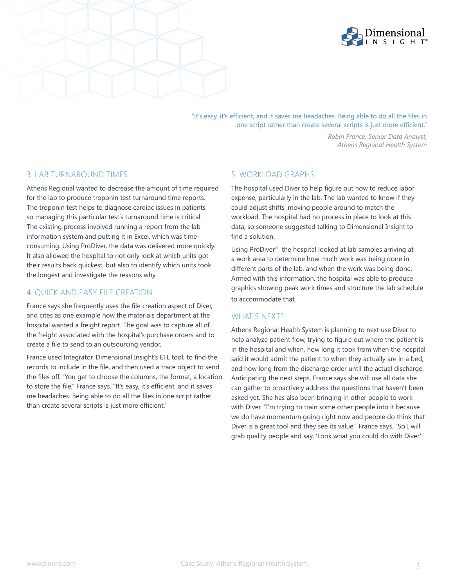



"It's easy, it's efficient, and it saves me headaches. Being able to do all the files in one script rather than create several scripts is just more efficient."

> *Robin France, Senior Data Analyst, Athens Regional Health System*

# 3. LAB TURNAROUND TIMES

Athens Regional wanted to decrease the amount of time required for the lab to produce troponin test turnaround time reports. The troponin test helps to diagnose cardiac issues in patients so managing this particular test's turnaround time is critical. The existing process involved running a report from the lab information system and putting it in Excel, which was timeconsuming. Using ProDiver, the data was delivered more quickly. It also allowed the hospital to not only look at which units got their results back quickest, but also to identify which units took the longest and investigate the reasons why.

# 4. QUICK AND EASY FILE CREATION

France says she frequently uses the file creation aspect of Diver, and cites as one example how the materials department at the hospital wanted a freight report. The goal was to capture all of the freight associated with the hospital's purchase orders and to create a file to send to an outsourcing vendor.

France used Integrator, Dimensional Insight's ETL tool, to find the records to include in the file, and then used a trace object to send the files off. "You get to choose the columns, the format, a location to store the file," France says. "It's easy, it's efficient, and it saves me headaches. Being able to do all the files in one script rather than create several scripts is just more efficient."

# 5. WORKLOAD GRAPHS

The hospital used Diver to help figure out how to reduce labor expense, particularly in the lab. The lab wanted to know if they could adjust shifts, moving people around to match the workload. The hospital had no process in place to look at this data, so someone suggested talking to Dimensional Insight to find a solution.

Using ProDiver®, the hospital looked at lab samples arriving at a work area to determine how much work was being done in different parts of the lab, and when the work was being done. Armed with this information, the hospital was able to produce graphics showing peak work times and structure the lab schedule to accommodate that.

# WHAT'S NEXT?

Athens Regional Health System is planning to next use Diver to help analyze patient flow, trying to figure out where the patient is in the hospital and when, how long it took from when the hospital said it would admit the patient to when they actually are in a bed, and how long from the discharge order until the actual discharge. Anticipating the next steps, France says she will use all data she can gather to proactively address the questions that haven't been asked yet. She has also been bringing in other people to work with Diver. "I'm trying to train some other people into it because we do have momentum going right now and people do think that Diver is a great tool and they see its value," France says. "So I will grab quality people and say, 'Look what you could do with Diver.'"